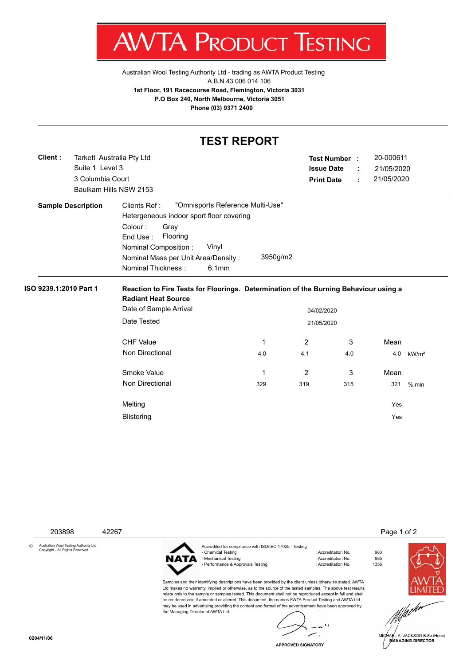V  $\boldsymbol{\mathcal{A}}$ :STING ľ

[Australian Wool Testing Authority Ltd - trading as AWTA Product Testing](http://www.awtaproducttesting.com.au/) A.B.N 43 006 014 106 **1st Floor, 191 Racecourse Road, Flemington, Victoria 3031 P.O Box 240, North Melbourne, Victoria 3051 Phone (03) 9371 2400**

|                        |                                                                  |                                                                                                                                                                                                    | <b>TEST REPORT</b>                                    |                                        |                           |                                       |                   |
|------------------------|------------------------------------------------------------------|----------------------------------------------------------------------------------------------------------------------------------------------------------------------------------------------------|-------------------------------------------------------|----------------------------------------|---------------------------|---------------------------------------|-------------------|
| Client:                | Tarkett Australia Pty Ltd<br>Suite 1 Level 3<br>3 Columbia Court | Baulkam Hills NSW 2153                                                                                                                                                                             |                                                       | <b>Issue Date</b><br><b>Print Date</b> | <b>Test Number :</b><br>÷ | 20-000611<br>21/05/2020<br>21/05/2020 |                   |
|                        | <b>Sample Description</b>                                        | Clients Ref:<br>Hetergeneous indoor sport floor covering<br>Colour:<br>Grey<br>End Use:<br>Flooring<br>Nominal Composition :<br>Vinyl<br>Nominal Mass per Unit Area/Density:<br>Nominal Thickness: | "Omnisports Reference Multi-Use"<br>3950g/m2<br>6.1mm |                                        |                           |                                       |                   |
| ISO 9239.1:2010 Part 1 |                                                                  | Reaction to Fire Tests for Floorings. Determination of the Burning Behaviour using a<br><b>Radiant Heat Source</b><br>Date of Sample Arrival<br>04/02/2020<br>Date Tested<br>21/05/2020            |                                                       |                                        |                           |                                       |                   |
|                        |                                                                  | CHF Value<br>Non Directional                                                                                                                                                                       | 1<br>4.0                                              | $\overline{2}$<br>4.1                  | 3<br>4.0                  | Mean<br>4.0                           | kW/m <sup>2</sup> |
|                        |                                                                  | Smoke Value<br>Non Directional                                                                                                                                                                     | 1<br>329                                              | 2<br>319                               | 3<br>315                  | Mean<br>321                           | $%$ .min          |
|                        |                                                                  | Melting<br><b>Blistering</b>                                                                                                                                                                       |                                                       |                                        |                           | Yes<br>Yes                            |                   |

203898 42267 Page 1 of 2

© Australian Wool Testing Authority Ltd Copyright - All Rights Reserved



the Managing Director of AWTA Ltd.

Accredited for compliance with ISO/IEC 17025 - Testing - Mechanical Testing in a state of the second technology of Accreditation No. 985<br>- Performance & Approvals Testing in the second technology of Accreditation No. 61356 - Performance & Approvals Testing

Samples and their identifying descriptions have been provided by the client unless otherwise stated. AWTA Ltd makes no warranty, implied or otherwise, as to the source of the tested samples. The above test results relate only to the sample or samples tested. This document shall not be reproduced except in full and shall be rendered void if amended or altered. This document, the names AWTA Product Testing and AWTA Ltd may be used in advertising providing the content and format of the advertisement have been approved by

: Accreditation No. 983<br>: Accreditation No. 985

 $\mathbf{r}_\lambda$ ż.  $\overline{\phantom{a}}$ سر

**APPROVED SIGNATORY**



.<br>IA∉L A. JACKSON B.Sc.(Hons)<br>MANAGING DIRECTOR